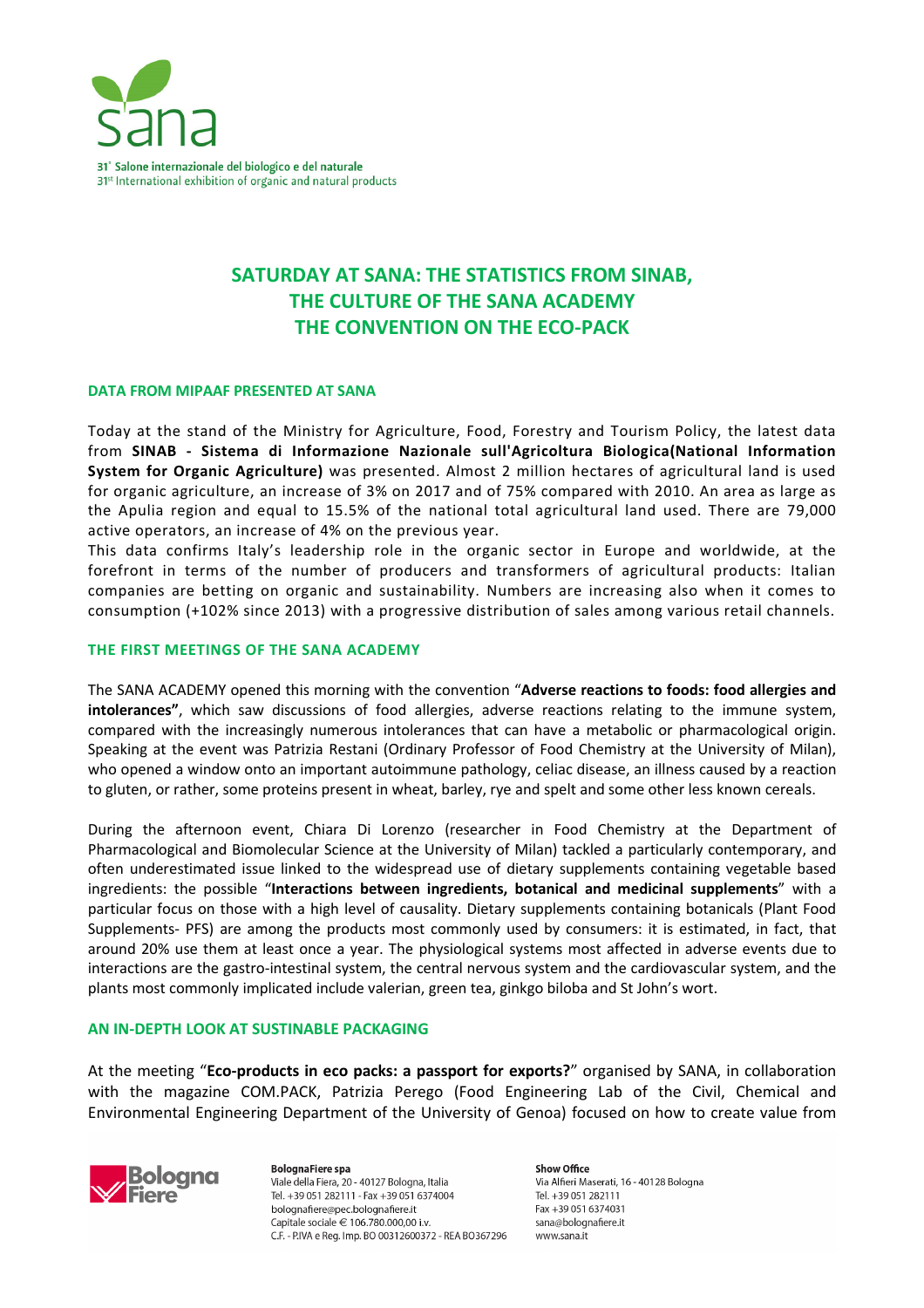

# **SATURDAY AT SANA: THE STATISTICS FROM SINAB, THE CULTURE OF THE SANA ACADEMY THE CONVENTION ON THE ECO-PACK**

#### **DATA FROM MIPAAF PRESENTED AT SANA**

Today at the stand of the Ministry for Agriculture, Food, Forestry and Tourism Policy, the latest data from **SINAB - Sistema di Informazione Nazionale sull'Agricoltura Biologica(National Information System for Organic Agriculture)** was presented. Almost 2 million hectares of agricultural land is used for organic agriculture, an increase of 3% on 2017 and of 75% compared with 2010. An area as large as the Apulia region and equal to 15.5% of the national total agricultural land used. There are 79,000 active operators, an increase of 4% on the previous year.

This data confirms Italy's leadership role in the organic sector in Europe and worldwide, at the forefront in terms of the number of producers and transformers of agricultural products: Italian companies are betting on organic and sustainability. Numbers are increasing also when it comes to consumption (+102% since 2013) with a progressive distribution of sales among various retail channels.

#### **THE FIRST MEETINGS OF THE SANA ACADEMY**

The SANA ACADEMY opened this morning with the convention "**Adverse reactions to foods: food allergies and intolerances"**, which saw discussions of food allergies, adverse reactions relating to the immune system, compared with the increasingly numerous intolerances that can have a metabolic or pharmacological origin. Speaking at the event was Patrizia Restani (Ordinary Professor of Food Chemistry at the University of Milan), who opened a window onto an important autoimmune pathology, celiac disease, an illness caused by a reaction to gluten, or rather, some proteins present in wheat, barley, rye and spelt and some other less known cereals.

During the afternoon event, Chiara Di Lorenzo (researcher in Food Chemistry at the Department of Pharmacological and Biomolecular Science at the University of Milan) tackled a particularly contemporary, and often underestimated issue linked to the widespread use of dietary supplements containing vegetable based ingredients: the possible "**Interactions between ingredients, botanical and medicinal supplements**" with a particular focus on those with a high level of causality. Dietary supplements containing botanicals (Plant Food Supplements- PFS) are among the products most commonly used by consumers: it is estimated, in fact, that around 20% use them at least once a year. The physiological systems most affected in adverse events due to interactions are the gastro-intestinal system, the central nervous system and the cardiovascular system, and the plants most commonly implicated include valerian, green tea, ginkgo biloba and St John's wort.

### **AN IN-DEPTH LOOK AT SUSTINABLE PACKAGING**

At the meeting "**Eco-products in eco packs: a passport for exports?**" organised by SANA, in collaboration with the magazine COM.PACK, Patrizia Perego (Food Engineering Lab of the Civil, Chemical and Environmental Engineering Department of the University of Genoa) focused on how to create value from



**BolognaFiere spa** Viale della Fiera, 20 - 40127 Bologna, Italia Tel. +39 051 282111 - Fax +39 051 6374004 bolognafiere@pec.bolognafiere.it Capitale sociale € 106.780.000.00 i.v. C.F. - P.IVA e Reg. Imp. BO 00312600372 - REA BO367296

Show Office Via Alfieri Maserati, 16 - 40128 Bologna Tel. +39 051 282111 Fax +39 051 6374031 sana@bolognafiere.it www.sana.it